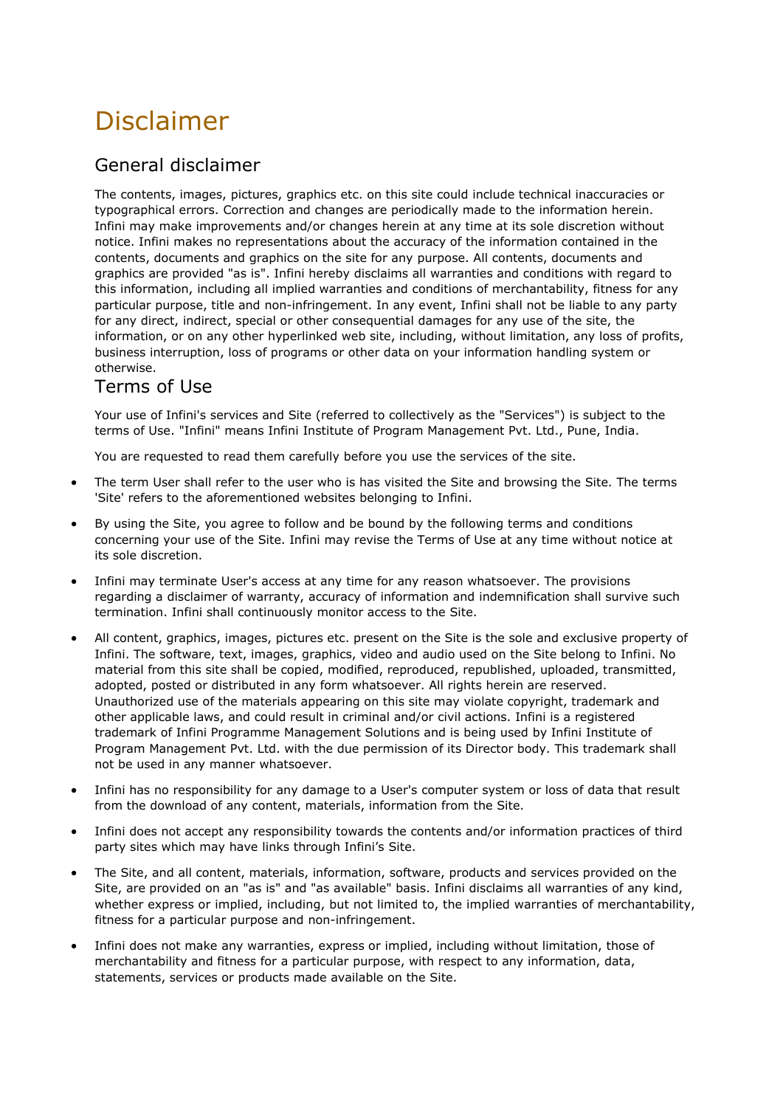## Disclaimer

## General disclaimer

The contents, images, pictures, graphics etc. on this site could include technical inaccuracies or typographical errors. Correction and changes are periodically made to the information herein. Infini may make improvements and/or changes herein at any time at its sole discretion without notice. Infini makes no representations about the accuracy of the information contained in the contents, documents and graphics on the site for any purpose. All contents, documents and graphics are provided "as is". Infini hereby disclaims all warranties and conditions with regard to this information, including all implied warranties and conditions of merchantability, fitness for any particular purpose, title and non-infringement. In any event, Infini shall not be liable to any party for any direct, indirect, special or other consequential damages for any use of the site, the information, or on any other hyperlinked web site, including, without limitation, any loss of profits, business interruption, loss of programs or other data on your information handling system or otherwise.

## Terms of Use

Your use of Infini's services and Site (referred to collectively as the "Services") is subject to the terms of Use. "Infini" means Infini Institute of Program Management Pvt. Ltd., Pune, India.

You are requested to read them carefully before you use the services of the site.

- The term User shall refer to the user who is has visited the Site and browsing the Site. The terms 'Site' refers to the aforementioned websites belonging to Infini.
- By using the Site, you agree to follow and be bound by the following terms and conditions concerning your use of the Site. Infini may revise the Terms of Use at any time without notice at its sole discretion.
- Infini may terminate User's access at any time for any reason whatsoever. The provisions regarding a disclaimer of warranty, accuracy of information and indemnification shall survive such termination. Infini shall continuously monitor access to the Site.
- All content, graphics, images, pictures etc. present on the Site is the sole and exclusive property of Infini. The software, text, images, graphics, video and audio used on the Site belong to Infini. No material from this site shall be copied, modified, reproduced, republished, uploaded, transmitted, adopted, posted or distributed in any form whatsoever. All rights herein are reserved. Unauthorized use of the materials appearing on this site may violate copyright, trademark and other applicable laws, and could result in criminal and/or civil actions. Infini is a registered trademark of Infini Programme Management Solutions and is being used by Infini Institute of Program Management Pvt. Ltd. with the due permission of its Director body. This trademark shall not be used in any manner whatsoever.
- Infini has no responsibility for any damage to a User's computer system or loss of data that result from the download of any content, materials, information from the Site.
- Infini does not accept any responsibility towards the contents and/or information practices of third party sites which may have links through Infini's Site.
- The Site, and all content, materials, information, software, products and services provided on the Site, are provided on an "as is" and "as available" basis. Infini disclaims all warranties of any kind, whether express or implied, including, but not limited to, the implied warranties of merchantability, fitness for a particular purpose and non-infringement.
- Infini does not make any warranties, express or implied, including without limitation, those of merchantability and fitness for a particular purpose, with respect to any information, data, statements, services or products made available on the Site.